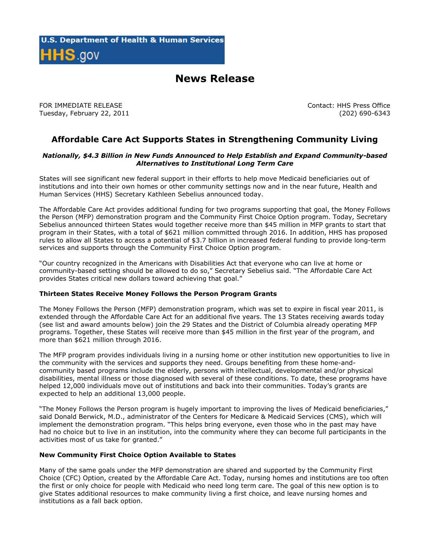# **News Release**

FOR IMMEDIATE RELEASE Tuesday, February 22, 2011 Contact: HHS Press Office (202) 690-6343

## **Affordable Care Act Supports States in Strengthening Community Living**

#### *Nationally, \$4.3 Billion in New Funds Announced to Help Establish and Expand Community-based Alternatives to Institutional Long Term Care*

States will see significant new federal support in their efforts to help move Medicaid beneficiaries out of institutions and into their own homes or other community settings now and in the near future, Health and Human Services (HHS) Secretary Kathleen Sebelius announced today.

The Affordable Care Act provides additional funding for two programs supporting that goal, the Money Follows the Person (MFP) demonstration program and the Community First Choice Option program. Today, Secretary Sebelius announced thirteen States would together receive more than \$45 million in MFP grants to start that program in their States, with a total of \$621 million committed through 2016. In addition, HHS has proposed rules to allow all States to access a potential of \$3.7 billion in increased federal funding to provide long-term services and supports through the Community First Choice Option program.

"Our country recognized in the Americans with Disabilities Act that everyone who can live at home or community-based setting should be allowed to do so," Secretary Sebelius said. "The Affordable Care Act provides States critical new dollars toward achieving that goal."

#### **Thirteen States Receive Money Follows the Person Program Grants**

The Money Follows the Person (MFP) demonstration program, which was set to expire in fiscal year 2011, is extended through the Affordable Care Act for an additional five years. The 13 States receiving awards today (see list and award amounts below) join the 29 States and the District of Columbia already operating MFP programs. Together, these States will receive more than \$45 million in the first year of the program, and more than \$621 million through 2016.

The MFP program provides individuals living in a nursing home or other institution new opportunities to live in the community with the services and supports they need. Groups benefiting from these home-andcommunity based programs include the elderly, persons with intellectual, developmental and/or physical disabilities, mental illness or those diagnosed with several of these conditions. To date, these programs have helped 12,000 individuals move out of institutions and back into their communities. Today's grants are expected to help an additional 13,000 people.

"The Money Follows the Person program is hugely important to improving the lives of Medicaid beneficiaries," said Donald Berwick, M.D., administrator of the Centers for Medicare & Medicaid Services (CMS), which will implement the demonstration program. "This helps bring everyone, even those who in the past may have had no choice but to live in an institution, into the community where they can become full participants in the activities most of us take for granted."

#### **New Community First Choice Option Available to States**

Many of the same goals under the MFP demonstration are shared and supported by the Community First Choice (CFC) Option, created by the Affordable Care Act. Today, nursing homes and institutions are too often the first or only choice for people with Medicaid who need long term care. The goal of this new option is to give States additional resources to make community living a first choice, and leave nursing homes and institutions as a fall back option.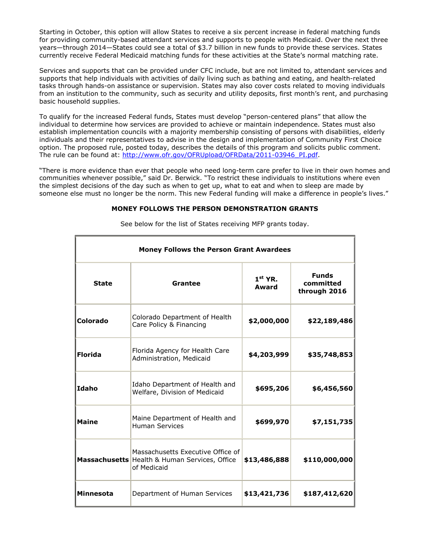Starting in October, this option will allow States to receive a six percent increase in federal matching funds for providing community-based attendant services and supports to people with Medicaid. Over the next three years—through 2014—States could see a total of \$3.7 billion in new funds to provide these services. States currently receive Federal Medicaid matching funds for these activities at the State's normal matching rate.

Services and supports that can be provided under CFC include, but are not limited to, attendant services and supports that help individuals with activities of daily living such as bathing and eating, and health-related tasks through hands-on assistance or supervision. States may also cover costs related to moving individuals from an institution to the community, such as security and utility deposits, first month's rent, and purchasing basic household supplies.

To qualify for the increased Federal funds, States must develop "person-centered plans" that allow the individual to determine how services are provided to achieve or maintain independence. States must also establish implementation councils with a majority membership consisting of persons with disabilities, elderly individuals and their representatives to advise in the design and implementation of Community First Choice option. The proposed rule, posted today, describes the details of this program and solicits public comment. The rule can be found at: [http://www.ofr.gov/OFRUpload/OFRData/2011-03946\\_PI.pdf.](http://www.ofr.gov/OFRUpload/OFRData/2011-03946_PI.pdf)

"There is more evidence than ever that people who need long-term care prefer to live in their own homes and communities whenever possible," said Dr. Berwick. "To restrict these individuals to institutions where even the simplest decisions of the day such as when to get up, what to eat and when to sleep are made by someone else must no longer be the norm. This new Federal funding will make a difference in people's lives."

### **MONEY FOLLOWS THE PERSON DEMONSTRATION GRANTS**

| <b>Money Follows the Person Grant Awardees</b> |                                                                                                          |                    |                                           |  |
|------------------------------------------------|----------------------------------------------------------------------------------------------------------|--------------------|-------------------------------------------|--|
| <b>State</b>                                   | Grantee                                                                                                  | $1st$ YR.<br>Award | <b>Funds</b><br>committed<br>through 2016 |  |
| Colorado                                       | Colorado Department of Health<br>Care Policy & Financing                                                 | \$2,000,000        | \$22,189,486                              |  |
| <b>Florida</b>                                 | Florida Agency for Health Care<br>Administration, Medicaid                                               | \$4,203,999        | \$35,748,853                              |  |
| Idaho                                          | Idaho Department of Health and<br>Welfare, Division of Medicaid                                          | \$695,206          | \$6,456,560                               |  |
| <b>Maine</b>                                   | Maine Department of Health and<br><b>Human Services</b>                                                  | \$699,970          | \$7,151,735                               |  |
|                                                | Massachusetts Executive Office of<br><b>Massachusetts</b> Health & Human Services, Office<br>of Medicaid | \$13,486,888       | \$110,000,000                             |  |
| <b>Minnesota</b>                               | Department of Human Services                                                                             | \$13,421,736       | \$187,412,620                             |  |

See below for the list of States receiving MFP grants today.